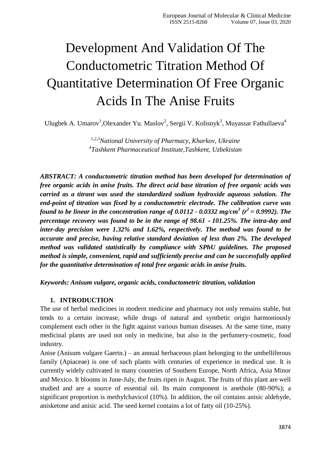# Development And Validation Of The Conductometric Titration Method Of Quantitative Determination Of Free Organic Acids In The Anise Fruits

Ulugbek A. Umarov<sup>1</sup>, Olexander Yu. Maslov<sup>2</sup>, Sergii V. Kolisnyk<sup>3</sup>, Muyassar Fathullaeva<sup>4</sup>

*1,2,3National University of Pharmacy, Kharkov, Ukraine 4 Tashkent Pharmaceutical Institute,Tashkent, Uzbekistan*

*ABSTRACT: A conductometric titration method has been developed for determination of free organic acids in anise fruits. The direct acid base titration of free organic acids was carried as a titrant was used the standardized sodium hydroxide aqueous solution. The end-point of titration was fixed by a conductometric electrode. The calibration curve was found to be linear in the concentration range of 0.0112 - 0.0332 mg/cm<sup>3</sup> (r2 = 0.9992). The percentage recovery was found to be in the range of 98.61 - 101.25%. The intra-day and inter-day precision were 1.32% and 1.62%, respectively. The method was found to be accurate and precise, having relative standard deviation of less than 2%. The developed method was validated statistically by compliance with SPhU guidelines. The proposed method is simple, convenient, rapid and sufficiently precise and can be successfully applied for the quantitative determination of total free organic acids in anise fruits.*

*Keywords: Anisum vulgare, organic acids, conductometric titration, validation*

## **1. INTRODUCTION**

The use of herbal medicines in modern medicine and pharmacy not only remains stable, but tends to a certain increase, while drugs of natural and synthetic origin harmoniously complement each other in the fight against various human diseases. At the same time, many medicinal plants are used not only in medicine, but also in the perfumery-cosmetic, food industry.

Anise (Anisum vulgare Gaertn.) – an annual herbaceous plant belonging to the umbelliferous family (Apiaceae) is one of such plants with centuries of experience in medical use. It is currently widely cultivated in many countries of Southern Europe, North Africa, Asia Minor and Mexico. It blooms in June-July, the fruits ripen in August. The fruits of this plant are well studied and are a source of essential oil. Its main component is anethole (80-90%); a significant proportion is methylchavicol (10%). In addition, the oil contains anisic aldehyde, anisketone and anisic acid. The seed kernel contains a lot of fatty oil (10-25%).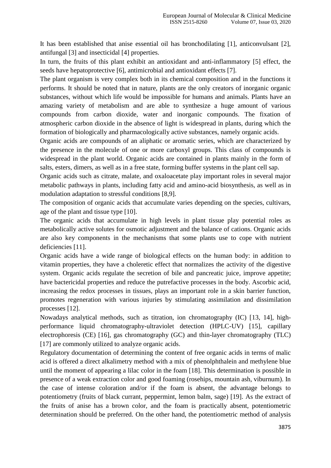It has been established that anise essential oil has bronchodilating [1], anticonvulsant [2], antifungal [3] and insecticidal [4] properties.

In turn, the fruits of this plant exhibit an antioxidant and anti-inflammatory [5] effect, the seeds have hepatoprotective [6], antimicrobial and antioxidant effects [7].

The plant organism is very complex both in its chemical composition and in the functions it performs. It should be noted that in nature, plants are the only creators of inorganic organic substances, without which life would be impossible for humans and animals. Plants have an amazing variety of metabolism and are able to synthesize a huge amount of various compounds from carbon dioxide, water and inorganic compounds. The fixation of atmospheric carbon dioxide in the absence of light is widespread in plants, during which the formation of biologically and pharmacologically active substances, namely organic acids.

Organic acids are compounds of an aliphatic or aromatic series, which are characterized by the presence in the molecule of one or more carboxyl groups. This class of compounds is widespread in the plant world. Organic acids are contained in plants mainly in the form of salts, esters, dimers, as well as in a free state, forming buffer systems in the plant cell sap.

Organic acids such as citrate, malate, and oxaloacetate play important roles in several major metabolic pathways in plants, including fatty acid and amino-acid biosynthesis, as well as in modulation adaptation to stressful conditions [8,9].

The composition of organic acids that accumulate varies depending on the species, cultivars, age of the plant and tissue type [10].

The organic acids that accumulate in high levels in plant tissue play potential roles as metabolically active solutes for osmotic adjustment and the balance of cations. Organic acids are also key components in the mechanisms that some plants use to cope with nutrient deficiencies [11].

Organic acids have a wide range of biological effects on the human body: in addition to vitamin properties, they have a choleretic effect that normalizes the activity of the digestive system. Organic acids regulate the secretion of bile and pancreatic juice, improve appetite; have bactericidal properties and reduce the putrefactive processes in the body. Ascorbic acid, increasing the redox processes in tissues, plays an important role in a skin barrier function, promotes regeneration with various injuries by stimulating assimilation and dissimilation processes [12].

Nowadays analytical methods, such as titration, ion chromatography (IC) [13, 14], highperformance liquid chromatography-ultraviolet detection (HPLC-UV) [15], capillary electrophoresis (CE) [16], gas chromatography (GC) and thin-layer chromatography (TLC) [17] are commonly utilized to analyze organic acids.

Regulatory documentation of determining the content of free organic acids in terms of malic acid is offered a direct alkalimetry method with a mix of phenolphthalein and methylene blue until the moment of appearing a lilac color in the foam [18]. This determination is possible in presence of a weak extraction color and good foaming (rosehips, mountain ash, viburnum). In the case of intense coloration and/or if the foam is absent, the advantage belongs to potentiometry (fruits of black currant, peppermint, lemon balm, sage) [19]. As the extract of the fruits of anise has a brown color, and the foam is practically absent, potentiometric determination should be preferred. On the other hand, the potentiometric method of analysis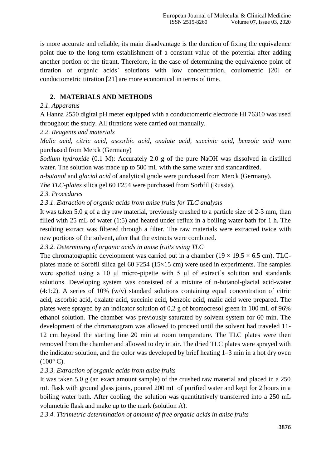is more accurate and reliable, its main disadvantage is the duration of fixing the equivalence point due to the long-term establishment of a constant value of the potential after adding another portion of the titrant. Therefore, in the case of determining the equivalence point of titration of organic acids` solutions with low concentration, coulometric [20] or conductometric titration [21] are more economical in terms of time.

# **2. MATERIALS AND METHODS**

#### *2.1. Apparatus*

A Hanna 2550 digital pH meter equipped with a conductometric electrode HI 76310 was used throughout the study. All titrations were carried out manually.

## *2.2. Reagents and materials*

*Malic acid, citric acid, ascorbic acid, oxalate acid, succinic acid, benzoic acid* were purchased from Merck (Germany)

*Sodium hydroxide* (0.1 M): Accurately 2.0 g of the pure NaOH was dissolved in distilled water. The solution was made up to 500 mL with the same water and standardized.

*n-butanol* and *glacial acid* of analytical grade were purchased from Merck (Germany).

*The TLC-plates* silica gel 60 F254 were purchased from Sorbfil (Russia).

## *2.3. Procedures*

*2.3.1. Extraction of organic acids from anise fruits for TLC analysis*

It was taken 5.0 g of a dry raw material, previously crushed to a particle size of 2-3 mm, than filled with 25 mL of water (1:5) and heated under reflux in a boiling water bath for 1 h. The resulting extract was filtered through a filter. The raw materials were extracted twice with new portions of the solvent, after that the extracts were combined.

*2.3.2. Determining of organic acids in anise fruits using TLC*

The chromatographic development was carried out in a chamber ( $19 \times 19.5 \times 6.5$  cm). TLCplates made of Sorbfil silica gel 60 F254 ( $15\times15$  cm) were used in experiments. The samples were spotted using a 10 μl micro-pipette with 5 μl of extract`s solution and standards solutions. Developing system was consisted of a mixture of n-butanol-glacial acid-water  $(4:1:2)$ . A series of 10%  $(w/v)$  standard solutions containing equal concentration of citric acid, ascorbic acid, oxalate acid, succinic acid, benzoic acid, malic acid were prepared. The plates were sprayed by an indicator solution of 0,2 g of bromocresol green in 100 mL of 96% ethanol solution. The chamber was previously saturated by solvent system for 60 min. The development of the chromatogram was allowed to proceed until the solvent had traveled 11- 12 cm beyond the starting line 20 min at room temperature. The TLC plates were then removed from the chamber and allowed to dry in air. The dried TLC plates were sprayed with the indicator solution, and the color was developed by brief heating 1–3 min in a hot dry oven  $(100^{\circ} \text{ C}).$ 

## *2.3.3. Extraction of organic acids from anise fruits*

It was taken 5.0 g (an exact amount sample) of the crushed raw material and placed in a 250 mL flask with ground glass joints, poured 200 mL of purified water and kept for 2 hours in a boiling water bath. After cooling, the solution was quantitatively transferred into a 250 mL volumetric flask and make up to the mark (solution A).

*2.3.4. Titrimetric determination of amount of free organic acids in anise fruits*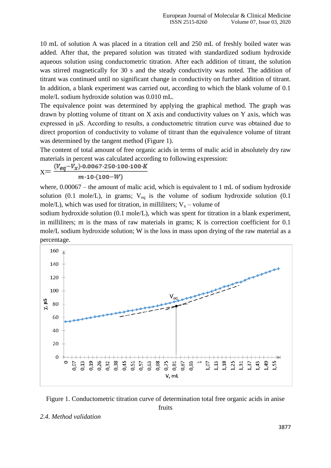10 mL of solution A was placed in a titration cell and 250 mL of freshly boiled water was added. After that, the prepared solution was titrated with standardized sodium hydroxide aqueous solution using conductometric titration. After each addition of titrant, the solution was stirred magnetically for 30 s and the steady conductivity was noted. The addition of titrant was continued until no significant change in conductivity on further addition of titrant. In addition, a blank experiment was carried out, according to which the blank volume of 0.1 mole/L sodium hydroxide solution was 0.010 mL.

The equivalence point was determined by applying the graphical method. The graph was drawn by plotting volume of titrant on X axis and conductivity values on Y axis, which was expressed in μS. According to results, a conductometric titration curve was obtained due to direct proportion of conductivity to volume of titrant than the equivalence volume of titrant was determined by the tangent method (Figure 1).

The content of total amount of free organic acids in terms of malic acid in absolutely dry raw materials in percent was calculated according to following expression:

$$
X = \frac{(V_{eq} - V_x) \cdot 0.0067 \cdot 250 \cdot 100 \cdot 100 \cdot R}{m \cdot 10 \cdot (100 - W)}
$$

where, 0.00067 – the amount of malic acid, which is equivalent to 1 mL of sodium hydroxide solution (0.1 mole/L), in grams;  $V_{eq}$  is the volume of sodium hydroxide solution (0.1 mole/L), which was used for titration, in milliliters;  $V_x$  – volume of

sodium hydroxide solution (0.1 mole/L), which was spent for titration in a blank experiment, in milliliters; m is the mass of raw materials in grams; K is correction coefficient for 0.1 mole/L sodium hydroxide solution; W is the loss in mass upon drying of the raw material as a percentage.



Figure 1. Conductometric titration curve of determination total free organic acids in anise fruits

#### *2.4. Method validation*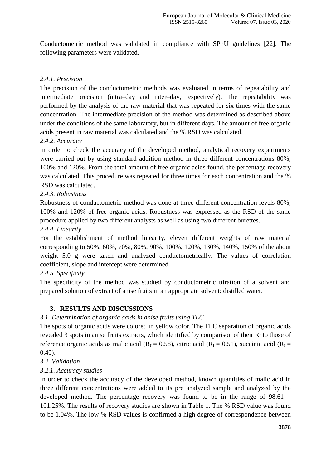Conductometric method was validated in compliance with SPhU guidelines [22]. The following parameters were validated.

# *2.4.1. Precision*

The precision of the conductometric methods was evaluated in terms of repeatability and intermediate precision (intra–day and inter–day, respectively). The repeatability was performed by the analysis of the raw material that was repeated for six times with the same concentration. The intermediate precision of the method was determined as described above under the conditions of the same laboratory, but in different days. The amount of free organic acids present in raw material was calculated and the % RSD was calculated.

## *2.4.2. Accuracy*

In order to check the accuracy of the developed method, analytical recovery experiments were carried out by using standard addition method in three different concentrations 80%, 100% and 120%. From the total amount of free organic acids found, the percentage recovery was calculated. This procedure was repeated for three times for each concentration and the % RSD was calculated.

## *2.4.3. Robustness*

Robustness of conductometric method was done at three different concentration levels 80%, 100% and 120% of free organic acids. Robustness was expressed as the RSD of the same procedure applied by two different analysts as well as using two different burettes.

#### *2.4.4. Linearity*

For the establishment of method linearity, eleven different weights of raw material corresponding to 50%, 60%, 70%, 80%, 90%, 100%, 120%, 130%, 140%, 150% of the about weight 5.0 g were taken and analyzed conductometrically. The values of correlation coefficient, slope and intercept were determined.

## *2.4.5. Specificity*

The specificity of the method was studied by conductometric titration of a solvent and prepared solution of extract of anise fruits in an appropriate solvent: distilled water.

## **3. RESULTS AND DISCUSSIONS**

## *3.1. Determination of organic acids in anise fruits using TLC*

The spots of organic acids were colored in yellow color. The TLC separation of organic acids revealed 3 spots in anise fruits extracts, which identified by comparison of their  $R_f$  to those of reference organic acids as malic acid ( $R_f = 0.58$ ), citric acid ( $R_f = 0.51$ ), succinic acid ( $R_f = 0.54$ ) 0.40).

#### *3.2. Validation*

## *3.2.1. Accuracy studies*

In order to check the accuracy of the developed method, known quantities of malic acid in three different concentrations were added to its pre analyzed sample and analyzed by the developed method. The percentage recovery was found to be in the range of 98.61 – 101.25%. The results of recovery studies are shown in Table 1. The % RSD value was found to be 1.04%. The low % RSD values is confirmed a high degree of correspondence between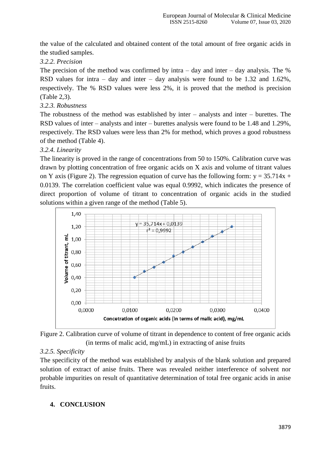the value of the calculated and obtained content of the total amount of free organic acids in the studied samples.

## *3.2.2. Precision*

The precision of the method was confirmed by intra  $-$  day and inter  $-$  day analysis. The % RSD values for intra – day and inter – day analysis were found to be 1.32 and 1.62%, respectively. The % RSD values were less 2%, it is proved that the method is precision (Table 2,3).

#### *3.2.3. Robustness*

The robustness of the method was established by inter – analysts and inter – burettes. The RSD values of inter – analysts and inter – burettes analysis were found to be 1.48 and 1.29%, respectively. The RSD values were less than 2% for method, which proves a good robustness of the method (Table 4).

#### *3.2.4. Linearity*

The linearity is proved in the range of concentrations from 50 to 150%. Calibration curve was drawn by plotting concentration of free organic acids on X axis and volume of titrant values on Y axis (Figure 2). The regression equation of curve has the following form:  $y = 35.714x +$ 0.0139. The correlation coefficient value was equal 0.9992, which indicates the presence of direct proportion of volume of titrant to concentration of organic acids in the studied solutions within a given range of the method (Table 5).



Figure 2. Calibration curve of volume of titrant in dependence to content of free organic acids (in terms of malic acid, mg/mL) in extracting of anise fruits

## *3.2.5. Specificity*

The specificity of the method was established by analysis of the blank solution and prepared solution of extract of anise fruits. There was revealed neither interference of solvent nor probable impurities on result of quantitative determination of total free organic acids in anise fruits.

## **4. CONCLUSION**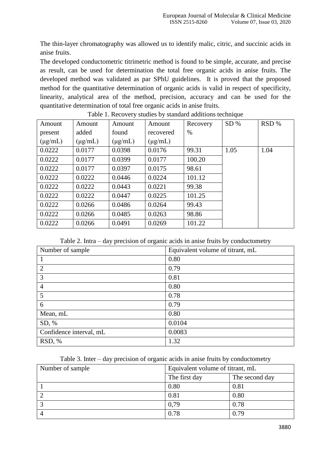The thin-layer chromatography was allowed us to identify malic, citric, and succinic acids in anise fruits.

The developed conductometric titrimetric method is found to be simple, accurate, and precise as result, can be used for determination the total free organic acids in anise fruits. The developed method was validated as par SPhU guidelines. It is proved that the proposed method for the quantitative determination of organic acids is valid in respect of specificity, linearity, analytical area of the method, precision, accuracy and can be used for the quantitative determination of total free organic acids in anise fruits.

| Amount       | Amount       | Amount       | were it itself they because by because we change to<br>Amount | Recovery | SD%  | RSD% |
|--------------|--------------|--------------|---------------------------------------------------------------|----------|------|------|
| present      | added        | found        | recovered                                                     | $\%$     |      |      |
| $(\mu g/mL)$ | $(\mu g/mL)$ | $(\mu g/mL)$ | $(\mu g/mL)$                                                  |          |      |      |
| 0.0222       | 0.0177       | 0.0398       | 0.0176                                                        | 99.31    | 1.05 | 1.04 |
| 0.0222       | 0.0177       | 0.0399       | 0.0177                                                        | 100.20   |      |      |
| 0.0222       | 0.0177       | 0.0397       | 0.0175                                                        | 98.61    |      |      |
| 0.0222       | 0.0222       | 0.0446       | 0.0224                                                        | 101.12   |      |      |
| 0.0222       | 0.0222       | 0.0443       | 0.0221                                                        | 99.38    |      |      |
| 0.0222       | 0.0222       | 0.0447       | 0.0225                                                        | 101.25   |      |      |
| 0.0222       | 0.0266       | 0.0486       | 0.0264                                                        | 99.43    |      |      |
| 0.0222       | 0.0266       | 0.0485       | 0.0263                                                        | 98.86    |      |      |
| 0.0222       | 0.0266       | 0.0491       | 0.0269                                                        | 101.22   |      |      |

Table 1. Recovery studies by standard additions technique

Table 2. Intra – day precision of organic acids in anise fruits by conductometry

| Number of sample        | Equivalent volume of titrant, mL |
|-------------------------|----------------------------------|
|                         | 0.80                             |
| $\overline{2}$          | 0.79                             |
| 3                       | 0.81                             |
| $\overline{4}$          | 0.80                             |
| 5                       | 0.78                             |
| 6                       | 0.79                             |
| Mean, mL                | 0.80                             |
| SD, %                   | 0.0104                           |
| Confidence interval, mL | 0.0083                           |
| RSD, %                  | 1.32                             |

|  |  |  |  | Table 3. Inter – day precision of organic acids in anise fruits by conductometry |
|--|--|--|--|----------------------------------------------------------------------------------|
|  |  |  |  |                                                                                  |

| Number of sample | Equivalent volume of titrant, mL |                |  |  |
|------------------|----------------------------------|----------------|--|--|
|                  | The first day                    | The second day |  |  |
|                  | 0.80                             | 0.81           |  |  |
|                  | 0.81                             | 0.80           |  |  |
|                  | 0,79                             | 0.78           |  |  |
|                  | 0.78                             | 0.79           |  |  |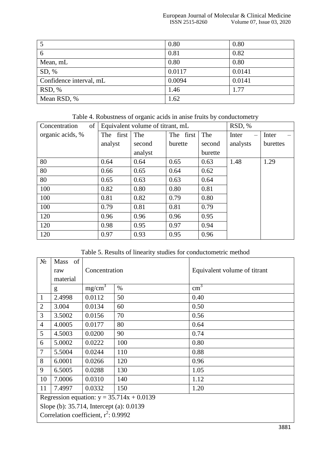|                         | 0.80   | 0.80   |
|-------------------------|--------|--------|
| 6                       | 0.81   | 0.82   |
| Mean, mL                | 0.80   | 0.80   |
| SD, %                   | 0.0117 | 0.0141 |
| Confidence interval, mL | 0.0094 | 0.0141 |
| RSD, %                  | 1.46   | 1.77   |
| Mean RSD, %             | 1.62   |        |

Table 4. Robustness of organic acids in anise fruits by conductometry

| of<br>Concentration |                | Equivalent volume of titrant, mL | RSD, %    |         |          |          |
|---------------------|----------------|----------------------------------|-----------|---------|----------|----------|
| organic acids, %    | first  <br>The | The                              | The first | The     | Inter    | Inter    |
|                     | analyst        | second                           | burette   | second  | analysts | burettes |
|                     |                | analyst                          |           | burette |          |          |
| 80                  | 0.64           | 0.64                             | 0.65      | 0.63    | 1.48     | 1.29     |
| 80                  | 0.66           | 0.65                             | 0.64      | 0.62    |          |          |
| 80                  | 0.65           | 0.63                             | 0.63      | 0.64    |          |          |
| 100                 | 0.82           | 0.80                             | 0.80      | 0.81    |          |          |
| 100                 | 0.81           | 0.82                             | 0.79      | 0.80    |          |          |
| 100                 | 0.79           | 0.81                             | 0.81      | 0.79    |          |          |
| 120                 | 0.96           | 0.96                             | 0.96      | 0.95    |          |          |
| 120                 | 0.98           | 0.95                             | 0.97      | 0.94    |          |          |
| 120                 | 0.97           | 0.93                             | 0.95      | 0.96    |          |          |

Table 5. Results of linearity studies for conductometric method

| $N_2$          | <sub>of</sub><br><b>Mass</b>                |                    |      |                              |  |  |  |
|----------------|---------------------------------------------|--------------------|------|------------------------------|--|--|--|
|                | raw                                         | Concentration      |      | Equivalent volume of titrant |  |  |  |
|                | material                                    |                    |      |                              |  |  |  |
|                | g                                           | mg/cm <sup>3</sup> | $\%$ | $\text{cm}^3$                |  |  |  |
| $\mathbf{1}$   | 2.4998                                      | 0.0112             | 50   | 0.40                         |  |  |  |
| $\overline{2}$ | 3.004                                       | 0.0134             | 60   | 0.50                         |  |  |  |
| 3              | 3.5002                                      | 0.0156             | 70   | 0.56                         |  |  |  |
| $\overline{4}$ | 4.0005                                      | 0.0177             | 80   | 0.64                         |  |  |  |
| 5              | 4.5003                                      | 0.0200             | 90   | 0.74                         |  |  |  |
| 6              | 5.0002                                      | 0.0222             | 100  | 0.80                         |  |  |  |
| $\overline{7}$ | 5.5004                                      | 0.0244             | 110  | 0.88                         |  |  |  |
| 8              | 6.0001                                      | 0.0266             | 120  | 0.96                         |  |  |  |
| 9              | 6.5005                                      | 0.0288             | 130  | 1.05                         |  |  |  |
| 10             | 7.0006                                      | 0.0310             | 140  | 1.12                         |  |  |  |
| 11             | 7.4997                                      | 0.0332             | 150  | 1.20                         |  |  |  |
|                | Regression equation: $y = 35.714x + 0.0139$ |                    |      |                              |  |  |  |
|                | Slope (b): 35.714, Intercept (a): 0.0139    |                    |      |                              |  |  |  |
|                | Correlation coefficient, $r^2$ : 0.9992     |                    |      |                              |  |  |  |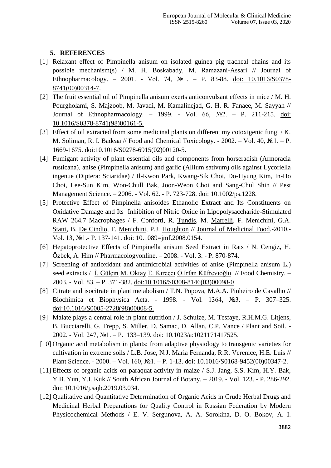## **5. REFERENCES**

- [1] Relaxant effect of Pimpinella anisum on isolated guinea pig tracheal chains and its possible mechanism(s) / M. H. Boskabady, M. Ramazani-Assari // Journal of Ethnopharmacology. – 2001. - Vol. 74, №1. – P. 83-88. [doi: 10.1016/S0378-](https://doi.org/10.1016/S0378-8741(00)00314-7) [8741\(00\)00314-7.](https://doi.org/10.1016/S0378-8741(00)00314-7)
- [2] The fruit essential oil of Pimpinella anisum exerts anticonvulsant effects in mice / M. H. Pourgholami, S. Majzoob, M. Javadi, M. Kamalinejad, G. H. R. Fanaee, M. Sayyah // Journal of Ethnopharmacology. – 1999. - Vol. 66, №2. – P. 211-215. [doi:](https://doi.org/10.1016/S0378-8741(98)00161-5)  [10.1016/S0378-8741\(98\)00161-5.](https://doi.org/10.1016/S0378-8741(98)00161-5)
- [3] Effect of oil extracted from some medicinal plants on different my cotoxigenic fungi / K. M. Soliman, R. I. Badeaa // Food and Chemical Toxicology. - 2002. – Vol. 40, №1. – P. 1669-1675. doi:10.1016/S0278-6915(02)00120-5.
- [4] Fumigant activity of plant essential oils and components from horseradish (Armoracia rusticana), anise (Pimpinella anisum) and garlic (Allium sativum) oils against Lycoriella ingenue (Diptera: Sciaridae) / Il-Kwon Park, Kwang-Sik Choi, Do-Hyung Kim, In-Ho Choi, Lee-Sun Kim, Won-Chull Bak, Joon-Weon Choi and Sang-Chul Shin // Pest Management Science. – 2006. - Vol. 62. - P. 723-728. doi: [10.1002/ps.1228.](https://doi.org/10.1002/ps.1228)
- [5] Protective Effect of Pimpinella anisoides Ethanolic Extract and Its Constituents on Oxidative Damage and Its Inhibition of Nitric Oxide in Lipopolysaccharide-Stimulated RAW 264.7 Macrophages / F. Conforti, R. [Tundis,](https://www.ncbi.nlm.nih.gov/pubmed/?term=Tundis%20R%5BAuthor%5D&cauthor=true&cauthor_uid=20136447) M. [Marrelli,](https://www.ncbi.nlm.nih.gov/pubmed/?term=Marrelli%20M%5BAuthor%5D&cauthor=true&cauthor_uid=20136447) F. Menichini, G.A. [Statti,](https://www.ncbi.nlm.nih.gov/pubmed/?term=Statti%20GA%5BAuthor%5D&cauthor=true&cauthor_uid=20136447) B. [De Cindio,](https://www.ncbi.nlm.nih.gov/pubmed/?term=De%20Cindio%20B%5BAuthor%5D&cauthor=true&cauthor_uid=20136447) F. [Menichini,](https://www.ncbi.nlm.nih.gov/pubmed/?term=Menichini%20F%5BAuthor%5D&cauthor=true&cauthor_uid=20136447) P.J. [Houghton](https://www.ncbi.nlm.nih.gov/pubmed/?term=Houghton%20PJ%5BAuthor%5D&cauthor=true&cauthor_uid=20136447) // [Journal of Medicinal Food.](https://www.liebertpub.com/journal/jmf)-2010.- [Vol. 13, №1.](https://www.liebertpub.com/toc/jmf/13/1)- P. 137-141. doi: 10.1089=jmf.2008.0154.
- [6] Hepatoprotective Effects of Pimpinella anisum Seed Extract in Rats / N. Cengiz, H. Özbek, A. Him // Pharmacologyonline. – 2008. - Vol. 3. - P. 870-874.
- [7] Screening of antioxidant and antimicrobial activities of anise (Pimpinella anisum L.) seed extracts / İ. Gülçin [M. Oktay](https://www.sciencedirect.com/science/article/abs/pii/S0308814603000980?via%3Dihub#!) E. Kıreçci Ö.İrfan Küfrevioğlu // Food Chemistry. – 2003. - Vol. 83. – P. 371-382. [doi:10.1016/S0308-8146\(03\)00098-0](https://doi.org/10.1016/S0308-8146(03)00098-0)
- [8] Citrate and isocitrate in plant metabolism / T.N. Popova, M.A.A. Pinheiro de Cavalho // Biochimica et Biophysica Acta. - 1998. - Vol. 1364, №3. – P. 307–325. [doi:10.1016/S0005-2728\(98\)00008-5.](https://doi.org/10.1016/S0005-2728(98)00008-5)
- [9] Malate plays a central role in plant nutrition / J. Schulze, M. Tesfaye, R.H.M.G. Litjens, B. Bucciarelli, G. Trepp, S. Miller, D. Samac, D. Allan, C.P. Vance / Plant and Soil. - 2002. - Vol. 247, №1. – P. 133–139. doi: 10.1023/a:1021171417525.
- [10] Organic acid metabolism in plants: from adaptive physiology to transgenic varieties for cultivation in extreme soils / L.B. Jose, N.J. Maria Fernanda, R.R. Verenice, H.E. Luis // Plant Science. - 2000. – Vol. 160, №1. – P. 1-13. doi: 10.1016/S0168-9452(00)00347-2.
- [11] Effects of organic acids on paraquat activity in maize / S.J. Jang, S.S. Kim, H.Y. Bak, Y.B. Yun, Y.I. Kuk // South African Journal of Botany. – 2019. - Vol. 123. - P. 286-292. [doi: 10.1016/j.sajb.2019.03.034.](https://doi.org/10.1016/j.sajb.2019.03.034)
- [12] Qualitative and Quantitative Determination of Organic Acids in Crude Herbal Drugs and Medicinal Herbal Preparations for Quality Control in Russian Federation by Modern Physicochemical Methods / E. V. Sergunova, A. A. Sorokina, D. O. Bokov, A. I.